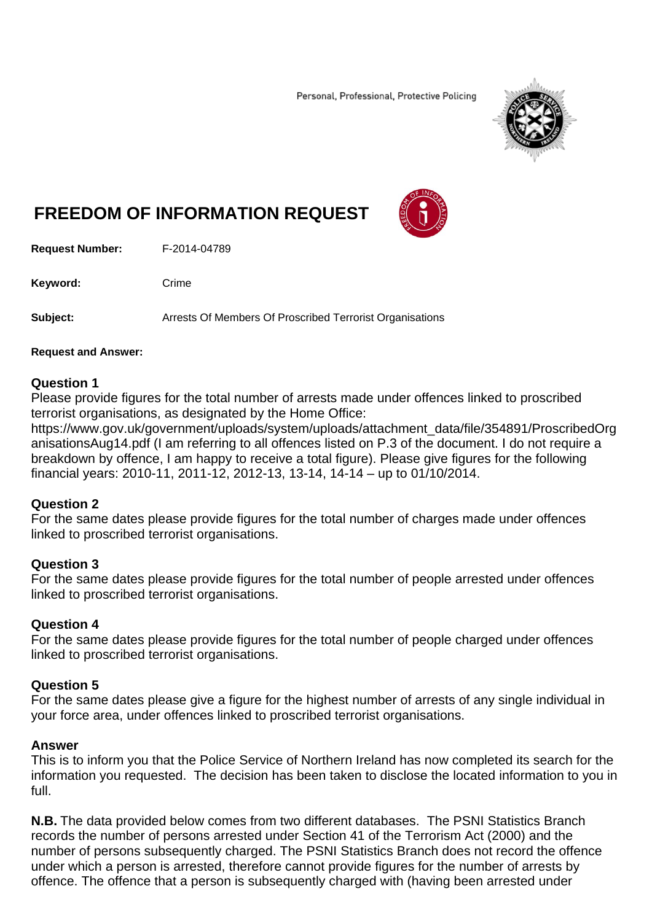Personal, Professional, Protective Policing



# **FREEDOM OF INFORMATION REQUEST**



**Request Number:** F-2014-04789

Keyword: Crime

**Subject:** Arrests Of Members Of Proscribed Terrorist Organisations

#### **Request and Answer:**

## **Question 1**

Please provide figures for the total number of arrests made under offences linked to proscribed terrorist organisations, as designated by the Home Office:

https://www.gov.uk/government/uploads/system/uploads/attachment\_data/file/354891/ProscribedOrg anisationsAug14.pdf (I am referring to all offences listed on P.3 of the document. I do not require a breakdown by offence, I am happy to receive a total figure). Please give figures for the following financial years: 2010-11, 2011-12, 2012-13, 13-14, 14-14 – up to 01/10/2014.

## **Question 2**

For the same dates please provide figures for the total number of charges made under offences linked to proscribed terrorist organisations.

## **Question 3**

For the same dates please provide figures for the total number of people arrested under offences linked to proscribed terrorist organisations.

## **Question 4**

For the same dates please provide figures for the total number of people charged under offences linked to proscribed terrorist organisations.

## **Question 5**

For the same dates please give a figure for the highest number of arrests of any single individual in your force area, under offences linked to proscribed terrorist organisations.

## **Answer**

This is to inform you that the Police Service of Northern Ireland has now completed its search for the information you requested. The decision has been taken to disclose the located information to you in full.

**N.B.** The data provided below comes from two different databases. The PSNI Statistics Branch records the number of persons arrested under Section 41 of the Terrorism Act (2000) and the number of persons subsequently charged. The PSNI Statistics Branch does not record the offence under which a person is arrested, therefore cannot provide figures for the number of arrests by offence. The offence that a person is subsequently charged with (having been arrested under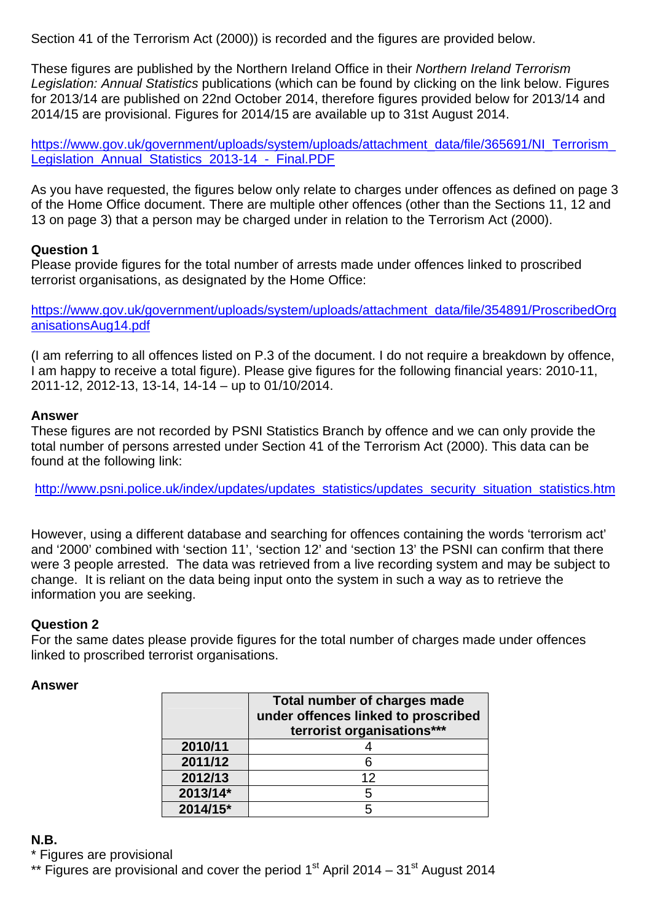Section 41 of the Terrorism Act (2000)) is recorded and the figures are provided below.

These figures are published by the Northern Ireland Office in their *Northern Ireland Terrorism Legislation: Annual Statistics* publications (which can be found by clicking on the link below. Figures for 2013/14 are published on 22nd October 2014, therefore figures provided below for 2013/14 and 2014/15 are provisional. Figures for 2014/15 are available up to 31st August 2014.

https://www.gov.uk/government/uploads/system/uploads/attachment\_data/file/365691/NI\_Terrorism Legislation Annual Statistics 2013-14 - Final.PDF

As you have requested, the figures below only relate to charges under offences as defined on page 3 of the Home Office document. There are multiple other offences (other than the Sections 11, 12 and 13 on page 3) that a person may be charged under in relation to the Terrorism Act (2000).

## **Question 1**

Please provide figures for the total number of arrests made under offences linked to proscribed terrorist organisations, as designated by the Home Office:

https://www.gov.uk/government/uploads/system/uploads/attachment\_data/file/354891/ProscribedOrg anisationsAug14.pdf

(I am referring to all offences listed on P.3 of the document. I do not require a breakdown by offence, I am happy to receive a total figure). Please give figures for the following financial years: 2010-11, 2011-12, 2012-13, 13-14, 14-14 – up to 01/10/2014.

## **Answer**

These figures are not recorded by PSNI Statistics Branch by offence and we can only provide the total number of persons arrested under Section 41 of the Terrorism Act (2000). This data can be found at the following link:

http://www.psni.police.uk/index/updates/updates\_statistics/updates\_security\_situation\_statistics.htm

However, using a different database and searching for offences containing the words 'terrorism act' and '2000' combined with 'section 11', 'section 12' and 'section 13' the PSNI can confirm that there were 3 people arrested. The data was retrieved from a live recording system and may be subject to change. It is reliant on the data being input onto the system in such a way as to retrieve the information you are seeking.

## **Question 2**

For the same dates please provide figures for the total number of charges made under offences linked to proscribed terrorist organisations.

## **Answer**

|          | Total number of charges made<br>under offences linked to proscribed<br>terrorist organisations*** |
|----------|---------------------------------------------------------------------------------------------------|
| 2010/11  |                                                                                                   |
| 2011/12  | 6                                                                                                 |
| 2012/13  | 12                                                                                                |
| 2013/14* | 5                                                                                                 |
| 2014/15* | 5                                                                                                 |

## **N.B.**

\* Figures are provisional

\*\* Figures are provisional and cover the period  $1<sup>st</sup>$  April 2014 – 31 $<sup>st</sup>$  August 2014</sup>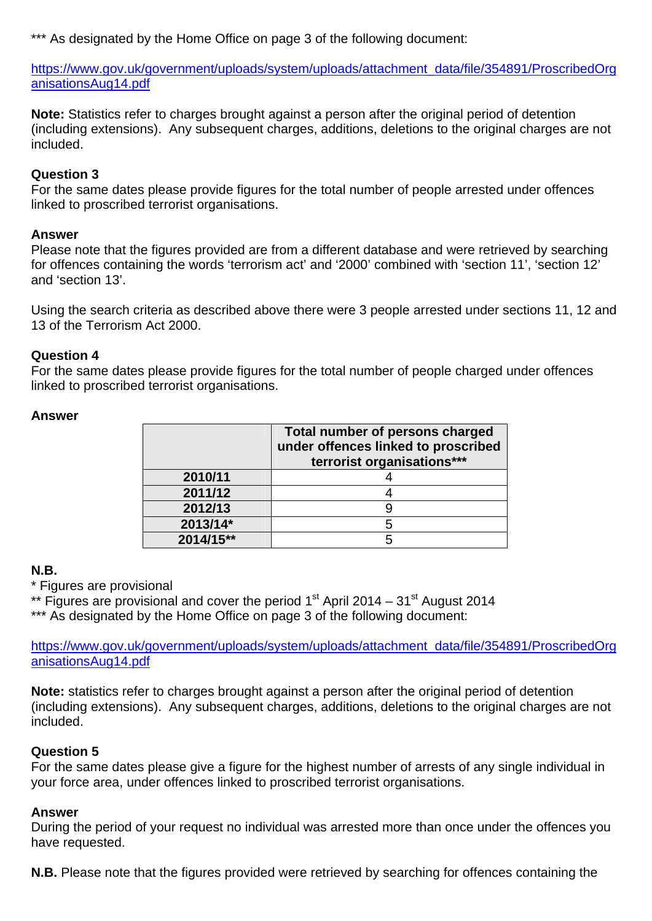\*\*\* As designated by the Home Office on page 3 of the following document:

https://www.gov.uk/government/uploads/system/uploads/attachment\_data/file/354891/ProscribedOrg anisationsAug14.pdf

**Note:** Statistics refer to charges brought against a person after the original period of detention (including extensions). Any subsequent charges, additions, deletions to the original charges are not included.

## **Question 3**

For the same dates please provide figures for the total number of people arrested under offences linked to proscribed terrorist organisations.

## **Answer**

Please note that the figures provided are from a different database and were retrieved by searching for offences containing the words 'terrorism act' and '2000' combined with 'section 11', 'section 12' and 'section 13'.

Using the search criteria as described above there were 3 people arrested under sections 11, 12 and 13 of the Terrorism Act 2000.

## **Question 4**

For the same dates please provide figures for the total number of people charged under offences linked to proscribed terrorist organisations.

|           | Total number of persons charged<br>under offences linked to proscribed<br>terrorist organisations*** |
|-----------|------------------------------------------------------------------------------------------------------|
| 2010/11   |                                                                                                      |
| 2011/12   |                                                                                                      |
| 2012/13   |                                                                                                      |
| 2013/14*  | 5                                                                                                    |
| 2014/15** |                                                                                                      |

#### **Answer**

# **N.B.**

\* Figures are provisional

\*\* Figures are provisional and cover the period  $1<sup>st</sup>$  April 2014 – 31 $<sup>st</sup>$  August 2014</sup>

\*\*\* As designated by the Home Office on page 3 of the following document:

https://www.gov.uk/government/uploads/system/uploads/attachment\_data/file/354891/ProscribedOrg anisationsAug14.pdf

**Note:** statistics refer to charges brought against a person after the original period of detention (including extensions). Any subsequent charges, additions, deletions to the original charges are not included.

# **Question 5**

For the same dates please give a figure for the highest number of arrests of any single individual in your force area, under offences linked to proscribed terrorist organisations.

## **Answer**

During the period of your request no individual was arrested more than once under the offences you have requested.

**N.B.** Please note that the figures provided were retrieved by searching for offences containing the